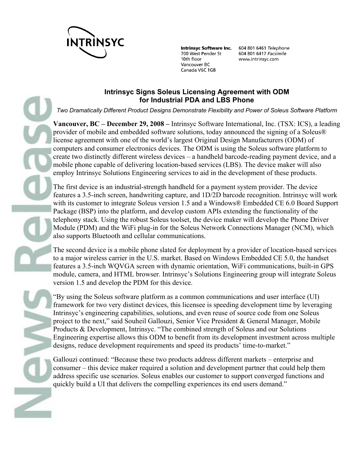

700 West Pender St 10th floor Vancouver BC Canada V6C 1G8

Intrinsyc Software Inc. 604 801 6461 Telephone 604 801 6417 Facsimile www.intrinsyc.com

### **Intrinsyc Signs Soleus Licensing Agreement with ODM for Industrial PDA and LBS Phone**

*Two Dramatically Different Product Designs Demonstrate Flexibility and Power of Soleus Software Platform*

**Vancouver, BC – December 29, 2008 –** Intrinsyc Software International, Inc. (TSX: ICS), a leading provider of mobile and embedded software solutions, today announced the signing of a Soleus® license agreement with one of the world's largest Original Design Manufacturers (ODM) of computers and consumer electronics devices. The ODM is using the Soleus software platform to create two distinctly different wireless devices – a handheld barcode-reading payment device, and a mobile phone capable of delivering location-based services (LBS). The device maker will also employ Intrinsyc Solutions Engineering services to aid in the development of these products.

The first device is an industrial-strength handheld for a payment system provider. The device features a 3.5-inch screen, handwriting capture, and 1D/2D barcode recognition. Intrinsyc will work with its customer to integrate Soleus version 1.5 and a Windows® Embedded CE 6.0 Board Support Package (BSP) into the platform, and develop custom APIs extending the functionality of the telephony stack. Using the robust Soleus toolset, the device maker will develop the Phone Driver Module (PDM) and the WiFi plug-in for the Soleus Network Connections Manager (NCM), which also supports Bluetooth and cellular communications.

The second device is a mobile phone slated for deployment by a provider of location-based services to a major wireless carrier in the U.S. market. Based on Windows Embedded CE 5.0, the handset features a 3.5-inch WQVGA screen with dynamic orientation, WiFi communications, built-in GPS module, camera, and HTML browser. Intrinsyc's Solutions Engineering group will integrate Soleus version 1.5 and develop the PDM for this device.

"By using the Soleus software platform as a common communications and user interface (UI) framework for two very distinct devices, this licensee is speeding development time by leveraging Intrinsyc's engineering capabilities, solutions, and even reuse of source code from one Soleus project to the next," said Souheil Gallouzi, Senior Vice President & General Manager, Mobile Products & Development, Intrinsyc. "The combined strength of Soleus and our Solutions Engineering expertise allows this ODM to benefit from its development investment across multiple designs, reduce development requirements and speed its products' time-to-market."

Gallouzi continued: "Because these two products address different markets – enterprise and consumer – this device maker required a solution and development partner that could help them address specific use scenarios. Soleus enables our customer to support converged functions and quickly build a UI that delivers the compelling experiences its end users demand."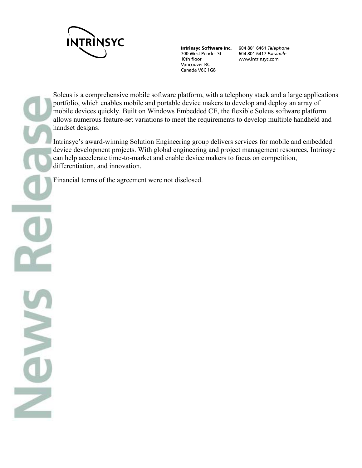

700 West Pender St 10th floor Vancouver BC Canada V6C 1G8

Intrinsyc Software Inc. 604 801 6461 Telephone 604 801 6417 Facsimile www.intrinsyc.com

Soleus is a comprehensive mobile software platform, with a telephony stack and a large applications portfolio, which enables mobile and portable device makers to develop and deploy an array of mobile devices quickly. Built on Windows Embedded CE, the flexible Soleus software platform allows numerous feature-set variations to meet the requirements to develop multiple handheld and handset designs.

Intrinsyc's award-winning Solution Engineering group delivers services for mobile and embedded device development projects. With global engineering and project management resources, Intrinsyc can help accelerate time-to-market and enable device makers to focus on competition, differentiation, and innovation.

Financial terms of the agreement were not disclosed.